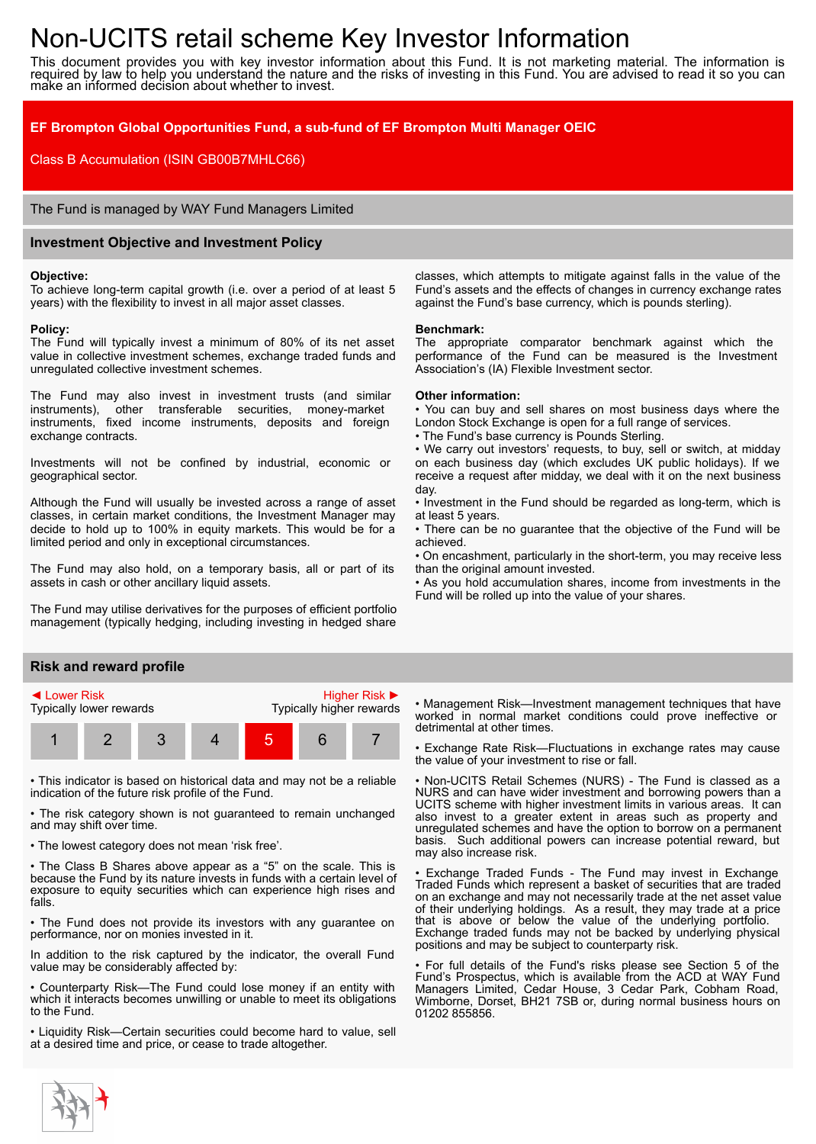# Non-UCITS retail scheme Key Investor Information

This document provides you with key investor information about this Fund. It is not marketing material. The information is required by law to help you understand the nature and the risks of investing in this Fund. You are advised to read it so you can make an informed decision about whether to invest.

# **EF Brompton Global Opportunities Fund, a sub-fund of EF Brompton Multi Manager OEIC**

Class B Accumulation (ISIN GB00B7MHLC66)

The Fund is managed by WAY Fund Managers Limited

## **Investment Objective and Investment Policy**

#### **Objective:**

To achieve long-term capital growth (i.e. over a period of at least 5 years) with the flexibility to invest in all major asset classes.

#### **Policy:**

The Fund will typically invest a minimum of 80% of its net asset value in collective investment schemes, exchange traded funds and unregulated collective investment schemes.

The Fund may also invest in investment trusts (and similar instruments), other transferable securities, money-market instruments, fixed income instruments, deposits and foreign exchange contracts.

Investments will not be confined by industrial, economic or geographical sector.

Although the Fund will usually be invested across a range of asset classes, in certain market conditions, the Investment Manager may decide to hold up to 100% in equity markets. This would be for a limited period and only in exceptional circumstances.

The Fund may also hold, on a temporary basis, all or part of its assets in cash or other ancillary liquid assets.

The Fund may utilise derivatives for the purposes of efficient portfolio management (typically hedging, including investing in hedged share

## **Risk and reward profile**



• This indicator is based on historical data and may not be a reliable indication of the future risk profile of the Fund.

• The risk category shown is not guaranteed to remain unchanged and may shift over time.

• The lowest category does not mean 'risk free'.

• The Class B Shares above appear as a "5" on the scale. This is because the Fund by its nature invests in funds with a certain level of exposure to equity securities which can experience high rises and falls.

• The Fund does not provide its investors with any guarantee on performance, nor on monies invested in it.

In addition to the risk captured by the indicator, the overall Fund value may be considerably affected by:

• Counterparty Risk—The Fund could lose money if an entity with which it interacts becomes unwilling or unable to meet its obligations to the Fund.

• Liquidity Risk—Certain securities could become hard to value, sell at a desired time and price, or cease to trade altogether.

classes, which attempts to mitigate against falls in the value of the Fund's assets and the effects of changes in currency exchange rates against the Fund's base currency, which is pounds sterling).

#### **Benchmark:**

The appropriate comparator benchmark against which the performance of the Fund can be measured is the Investment Association's (IA) Flexible Investment sector.

#### **Other information:**

• You can buy and sell shares on most business days where the London Stock Exchange is open for a full range of services.

• The Fund's base currency is Pounds Sterling.

• We carry out investors' requests, to buy, sell or switch, at midday on each business day (which excludes UK public holidays). If we receive a request after midday, we deal with it on the next business day.

• Investment in the Fund should be regarded as long-term, which is at least 5 years.

• There can be no guarantee that the objective of the Fund will be achieved.

• On encashment, particularly in the short-term, you may receive less than the original amount invested.

• As you hold accumulation shares, income from investments in the Fund will be rolled up into the value of your shares.

• Management Risk—Investment management techniques that have worked in normal market conditions could prove ineffective or detrimental at other times.

• Exchange Rate Risk—Fluctuations in exchange rates may cause the value of your investment to rise or fall.

• Non-UCITS Retail Schemes (NURS) - The Fund is classed as a NURS and can have wider investment and borrowing powers than a UCITS scheme with higher investment limits in various areas. It can also invest to a greater extent in areas such as property and unregulated schemes and have the option to borrow on a permanent basis. Such additional powers can increase potential reward, but may also increase risk.

• Exchange Traded Funds - The Fund may invest in Exchange Traded Funds which represent a basket of securities that are traded on an exchange and may not necessarily trade at the net asset value of their underlying holdings. As a result, they may trade at a price that is above or below the value of the underlying portfolio. Exchange traded funds may not be backed by underlying physical positions and may be subject to counterparty risk.

• For full details of the Fund's risks please see Section 5 of the Fund's Prospectus, which is available from the ACD at WAY Fund Managers Limited, Cedar House, 3 Cedar Park, Cobham Road, Wimborne, Dorset, BH21 7SB or, during normal business hours on 01202 855856.